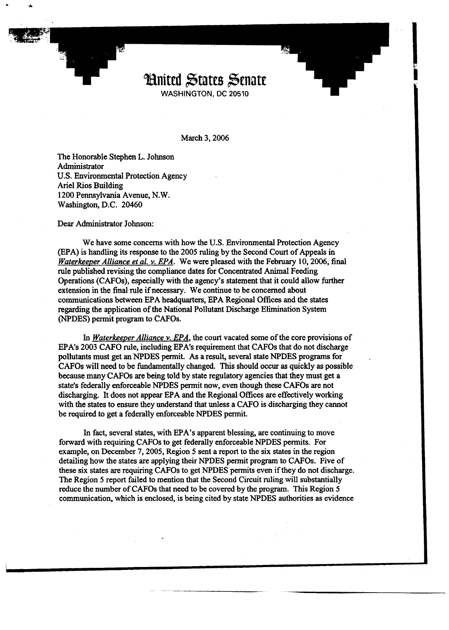

March 3, 2006

The Honorable Stephen L. Johnson Administrator U.S. Environmental Protection Agency Ariel Rios Building 1200 Pennsylvania Avenue, N. W. Washington, D.C. 20460

Dear Administrator Johnson:

We have some concerns with how the U.S. Environmental Protection Agency @PA) is handling its response to the 2005 ruling by the Second Court of Appeals in Waterkeeper Alliance et al. v. EPA. We were pleased with the February 10, 2006, final rule published revising the compliance dates for Concentrated Animal Feeding Operations (CAFOs), especially with the agency's statement that it could allow further extension in the final rule if necessary. We continue to be concerned about communications between EPA headquarters, EPA Regional Offices and the states regarding the application of the National Pollutant Discharge Elimination System (NPDES) permit program to CAFOs.

In *Waterkeeper Alliance v. EPA*, the court vacated some of the core provisions of EPA's 2003 CAFO rule, including EPA's requirement that CAFOs that do not discharge pollutants must get an NPDES permit. As a result, several state NPDES programs for CAFOs will need to be fundamentally changed. This should occur **as** quickly **as** possible because many CAFOs are being told by state regulatory agencies that they must get a state's federally enforceable NPDES permit now, even though these CAFOs are not discharging. It does not appear EPA and the Regional Offices are effectively working with the states to ensure they understand that unless a CAFO is discharging they cannot be required to get a federally enforceable NPDES permit.

In fact, several states, with EPA's apparent blessing, are continuing to move forward with requiring CAFOs to get federally enforceable NPDES permits. For example, on December 7,2005, Region 5 sent a report to the six states in the region detailing how the states are applying their NPDES permit program to CAFOs. Five of these six states are requiring CAFOs to get NPDES permits even if they do not discharge. The Region **5** report failed to mention that the Second Circuit ruling will substantially reduce the number of CAFOs that need to be covered by the program. This Region 5 communication, which is enclosed, is being cited by state NPDES authorities as evidence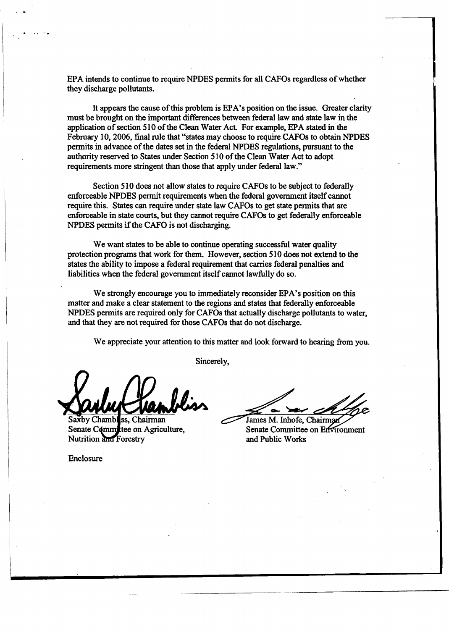EPA intends to continue to require NPDES permits for all CAFOs regardless of whether they discharge pollutants.

It appears the cause of this problem is EPA's position on the issue. Greater clarity must be brought on the important differences between federal law and state law in the application of section 510 of the Clean Water Act. For example, EPA stated in the February 10, 2006, final rule that "states may choose to require CAFOs to obtain NPDES permits in advance of the dates set in the federal NPDES regulations, pursuant to the authority reserved to States under Section 510 of the Clean Water Act to adopt requirements more stringent than those that apply under federal law."

Section 510 does not allow states to require CAFOs to be subject to federally enforceable NPDES permit requirements when the federal government itself cannot require this. States can require under state law CAFOs to get state permits that are enforceable in state courts, but they cannot require CAFOs to get federally enforceable NPDES permits if the CAFO is not discharging.

We want states to be able to continue operating successful water quality protection programs that work for them. However, section 510 does not extend to the states the ability to impose a federal requirement that carries federal penalties and liabilities when the federal government itself cannot lawfully do so.

We strongly encourage you to immediately reconsider EPA's position on this matter and make a clear statement to the regions and states that federally enforceable NPDES permits are required only for CAFOs that actually discharge pollutants to water, and that they are not required for those CAFOs that do not discharge.

Sincerely,

We appreciate your attention to this matter and look forward to hearing **fiom** you.

Saxby Chambles, Chairman Senate Comm ttee on Agriculture, Nutrition and Forestry

James M. Inhofe. Chairman

Senate Committee on Environment and Public Works

Enclosure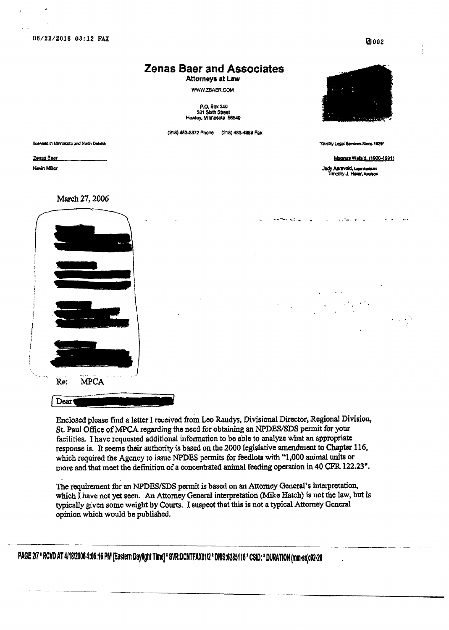06/22/2016 03:12 FAX

### **Zenas Baer and Associates**

Attorneys at Law

WWW.ZBAER.COM

P.O. Box 249<br>331 Sixth Street Hawley, Minnesota 56549

(218) 483-3372 Phone (218) 483-4989 Fax

licensed in Minnesota and North Dakota

Zenas Baer Kevin Miller



"Quality Legal Services Since 1929"

Magnus Wefald, (1900-1991)

Judy Agravoid, Legal Assistant<br>Timothy J. Heiler, Parategal

March 27, 2006



Dear

Enclosed please find a letter I received from Leo Raudys, Divisional Director, Regional Division, St. Paul Office of MPCA regarding the need for obtaining an NPDES/SDS permit for your facilities. I have requested additional information to be able to analyze what an appropriate response is. It seems their authority is based on the 2000 legislative amendment to Chapter 116, which required the Agency to issue NPDES permits for feedlots with "1,000 animal units or more and that meet the definition of a concentrated animal feeding operation in 40 CFR 122.23".

The requirement for an NPDES/SDS permit is based on an Attorney General's interpretation, which I have not yet seen. An Attorney General interpretation (Mike Hatch) is not the law, but is typically given some weight by Courts. I suspect that this is not a typical Attorney General opinion which would be published.

PAGE 2/7 \* RCVD AT 4/18/2006 4:06:16 PM [Eastern Daylight Time] \* SVR:DCNTFAX01/2 \* DNIS:6285116 \* CSID: \* DURATION (mm-ss):02-20

Ø002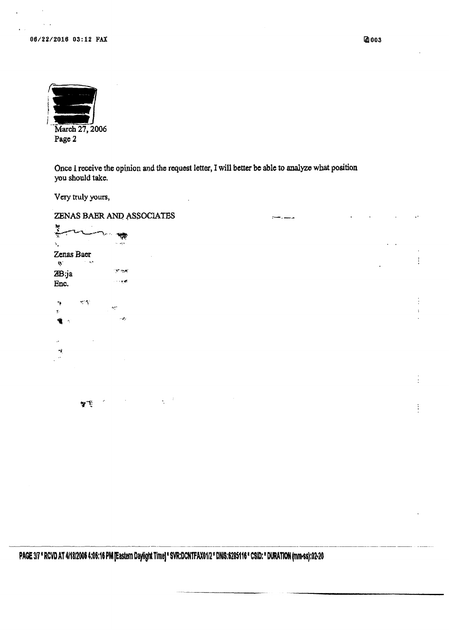06/22/2016 03:12 FAX

| March 27, 2006 |
|----------------|
| Page 2         |
|                |

Once I receive the opinion and the request letter, I will better be able to analyze what position you should take.

Very truly yours,

ZENAS BAER AND ASSOCIATES بمرتضف والمساوي 计程 一体  $\tilde{\mathbf{x}}_i$  $\sim$  -  $254$ Zenas Baer  $\vdots$  $\hat{\mathbf{W}}$  $\mathcal{L}^{\mathcal{A}}$  $\mathbf{v}$  as ZB:ja  $\sim$  exc Enc.  $\ddot{\phantom{0}}$  $\mathcal{C}(\mathcal{A})$  $\alpha$  $\mathbf{y}_i$  $\mathcal{A}$  $\cdot$ чğ,  $\ddot{\cdot}$  $\mathbf{Y}^{\mathrm{op}}$ ŧ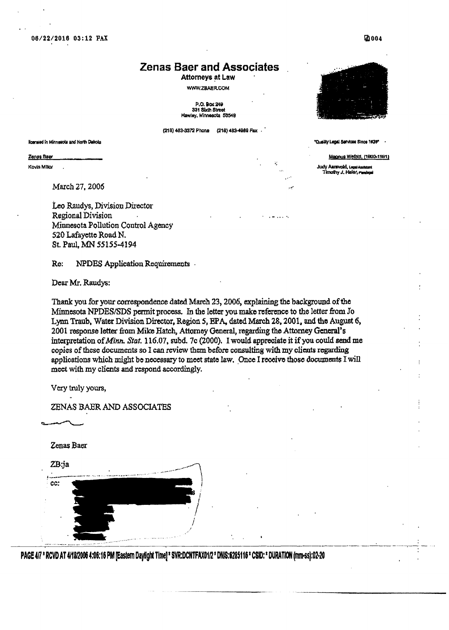**06/22/2016 03:12 FAX** .

## **Zenas Baer and Associates** .

**Attorneys** at **Law**  WWW.ZBAER.COM

**P.O.90%24v 331 SIXVI6ina Wey.** MiMk **56649** 

**(21B) 4939972Phone (218) 4834888 Fax** . '



*'~dy~agll* **SeMcw Sinw 1aC** -

Magnus Wefold, (1900-1991)

**Judy Aarsvold, Lega Assistant** nothy J. Haier, randegal

**Ilcensed In Minnesota and North Dakota** 

**Zenas Baer** 

**Kovin Millor** 

March **27,2006** 

Leo **Raudys, Division** Director **Regional** Division **Minnesota** PoIlution Control **A~ency 520 Lafayette Road N. St. Paul, A4N 55155-4194** 

**Re: NPDES** Application Requirements

Dear Mr. Raudys:

**Thankyou for yourcuzrespondencedated March 23,2006,explainingthe backpund ofthe Minnesota NPDES/SDS permit process. In the letter youmake** mfcrmce **to the** letter **from Yo L pTraub, Water** DivisionDirector, Region **5,EPA, dated**March **28,2001, andtha August 6,**  2001 **response letter from Mike Hatch, Attorney General, regarding the Attorney General's** interpretation *ofMtnn.***Stat. 116.07, subd. 7c (2000). I would appreoiate it if you could send me copies ofthese** documents **so I can**review thembefore **consulting** with **my olicnts regarding applications which** might **benecessaryto meet state law. .OnceI receive thost dowants** I**will meet withmy clients and respond accordingly.** 

**very truly yours,** 

**ZENAS BMR ANX> ASSOCIATES** 

**Zenas Baer** 

ZB:ja

cc:  $\mathcal{L} = \{ \mathcal{L} \mid \mathcal{L} \in \mathcal{L} \}$  . The sequence of  $\mathcal{L} = \{ \mathcal{L} \mid \mathcal{L} \in \mathcal{L} \}$ 

**PAGE4R RCVDAT 4H812006 1:06:16 PM pastem DaylightTime]' SVR:DCNTFAXOln DNIS:6285116 CSlD: DURATION(rnm.ss]:O2~20** 

**2004**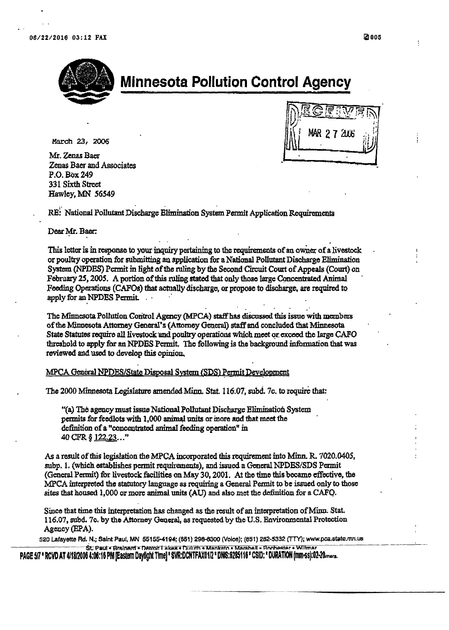

# **Minnesota Pollution Control Agency**

March 23, 2006

Mr. Zenas Baer Zenas Baer and Associates P.O. Box 249 331 Sixth Street Hawley, MN 56549

27 2006

RE: National Pollutant Discharge Elimination System Permit Application Requirements

#### Dear Mr. Baer:

This letter is in response to your inquiry pertaining to the requirements of an owner of a livestock or poultry operation for submitting an application for a National Pollutant Discharge Elimination System (NPDES) Permit in light of the ruling by the Second Circuit Court of Appeals (Court) on February 25, 2005. A portion of this ruling stated that only those large Concentrated Animal Feeding Operations (CAFOs) that actually discharge, or propose to discharge, are required to apply for an NPDES Permit.

The Minnesota Pollution Control Agency (MPCA) staff has discussed this issue with members of the Minnesota Attorney General's (Attorney General) staff and concluded that Minnesota State Statutes require all livestock and poultry operations which meet or exceed the large CAFO threshold to apply for an NPDES Permit. The following is the background information that was reviewed and used to develop this opinion.

MPCA General NPDES/State Disposal System (SDS) Permit Development

The 2000 Minnesota Legislature amended Minn. Stat. 116.07, subd. 7c. to require that:

"(a) The agency must issue National Pollutant Discharge Elimination System permits for feedlots with 1,000 animal units or more and that meet the definition of a "concentrated animal feeding operation" in 40 CFR § 122.23..."

As a result of this legislation the MPCA incorporated this requirement into Minn. R. 7020.0405, subp. 1. (which establishes permit requirements), and issued a General NPDES/SDS Permit (General Permit) for livestock facilities on May 30, 2001. At the time this became effective, the MPCA interpreted the statutory language as requiring a General Permit to be issued only to those sites that housed 1,000 or more animal units (AU) and also met the definition for a CAFQ.

Since that time this interpretation has changed as the result of an interpretation of Minn. Stat. 116.07, subd. 7c. by the Attorney General, as requested by the U.S. Environmental Protection Agency (EPA).

520 Lafayette Rd. N.; Saint Paul, MN 55155-4194; (651) 298-6300 (Voice); (651) 282-5332 (TTY); www.pca.state.mn.us St. Paul - Brainard - Datroit Lakes - Duluth - Mankato - Marshall - Rochester - Willmar

PAGE 5/7 \* RCVD AT 4/18/2006 4:06:16 PM [Eastern Daylight Time] \* SVR:DCNTFAX01/2 \* DNIS:6285116 \* CSID: \* DURATION (mm-ss):02-20mers.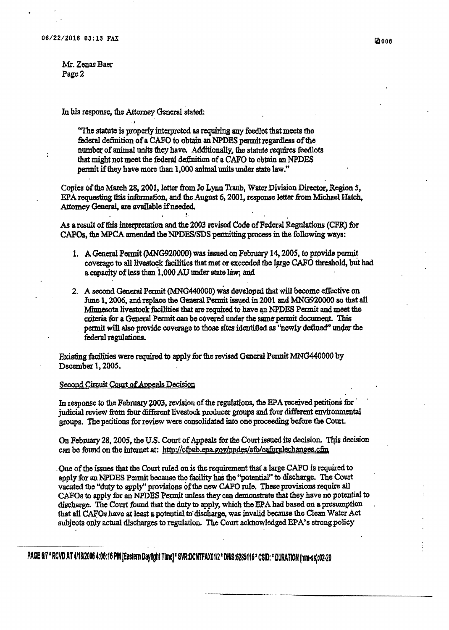$Mr.$  **Zenas Baer Page 2** 

**hbis response, the Attorney General stated:** .**J** 

> '(The **statateisproperly interpretedasrequiring any Mot that meets the**  federal definition of a CAFO to obtain an NPDES permit regardless of the number **of animal** units **they have,** Additionally, **the statuterequires feedlots thatmight not meet the federal ddnition ofa CAFO to obtainanNPDES permit if they have** more **than** 1,000 **animal** units**under state law."**

Copies **of the March 28,2001,** letter **fiom JoLynn Tranb, WaterDivision** Director,**Region 5, EPA** *rqmtbg* **this** infdon, **and**the **August 6,2001, response letter &om Michael Hatch,**  Attorney General, are available if needed.

As a result of this interpretation and the 2003 revised Code of Federal Regulations (CFR) for *CMOS,*the**MPCA mendedthe NPIIEWSPSpermittingprams inthe following ways:** 

:.

- **1.** A General Permit (MNG920000) was issued on February 14, 2005, to provide permit **coveragato all ]Jivestockfadities thatmet or exceededtba kge** *CMQ***tbdold, b& had <sup>a</sup>capacity oflessthan'l,000 AU under state liq and**
- 2. A second General Permit (MNG440000) was developed that will become effective on<br>Inne 1, 2006, and replace the General Permit issued in 2001 and MNG920000 so that all **Minnesota livestock facilities that are required to have an NPDES Permit and meet the** June 1, 2006, and replace the General Permit issued in 2001 and MNG920000 so that all Minnesota livestock facilities that are required to have an NPDES Permit and meet the criteria for a General Permit can be covered under federal regulations.

**l3hhg fkd'ties were** required**to applyfnr** the**rfised** General **P dMNG440000by December 1,2005.** 

#### **Second Circuit Court of Appeals Decision**

--

In response to the February 2003, revision of the regulations, the EPA received petitions for  $\frac{1}{2}$  *judicial review from four different livestock producer groups and four different environmental* **groups. The petitions for review were consoEdatadinto oneproceedingbefore the Court.** 

**On** February 28, 2005, the U.S. Court of Appeals for the Court issued its decision. This decision can be found on the internet at: <u>http://cfpub.epa.gov/npdes/afo/caforulechanges.cfm</u>

**.Oneof the issues that the Court nrIcdonis the requirement W alarge CAFO is** required **to apply fir an WDES Permitbecause the facilityhai the "pot.mtial"to discharge.** The **Cuuxt vacated the "duty to applysprovisions of the new CAFO rule,Theseprovisions require all CMOSto apply for an?@DIES Permit unless they can demmshatethat they have nopotential to discharge.** The **Court found that the duty ta apply, which the EPA had based on apresumption** . **that slt CMOShave at Icast apotential tddischatge, was invalid because the Clean Water Act subjects only actual dischargesto** regulation. Thc **Court achowledged EPA's stmagpolicy** 

**PAGE 6/7 \* RCVD AT 4/18/2006 4:06:16 PM [Eastern Daylight Time] \* SVR:DCNTFAX01/2 \* DNIS:6285116 \* CSID: \* DURATION (mm-ss):02-20**